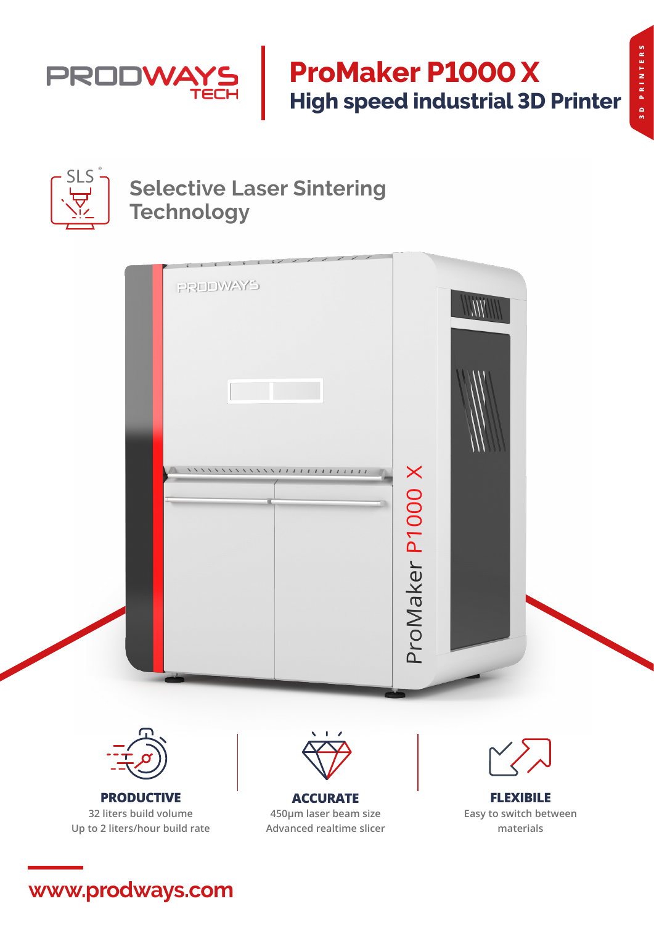

# **ProMaker P1000 X High speed industrial 3D Printer**



## **Selective Laser Sintering Technology**





**PRODUCTIVE 32 liters build volume Up to 2 liters/hour build rate**



**ACCURATE 450μm laser beam size Advanced realtime slicer**



**FLEXIBILE Easy to switch between materials**